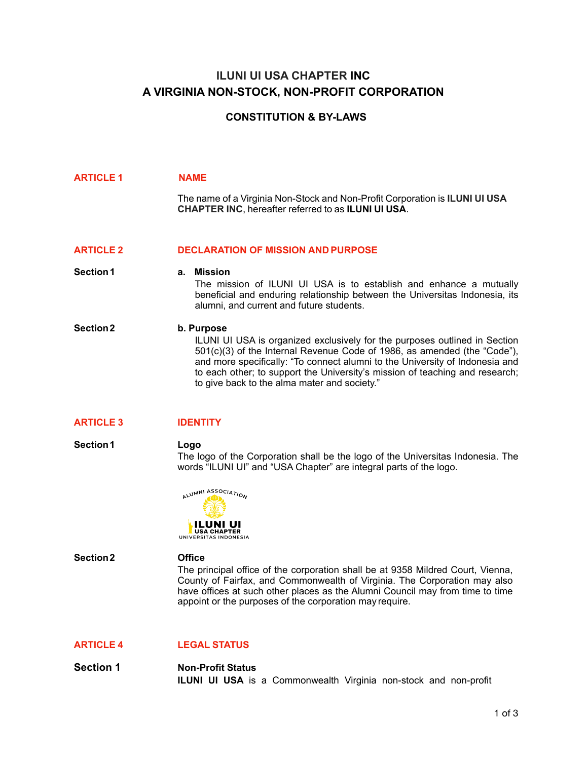# **ILUNI UI USA CHAPTER INC A VIRGINIA NON-STOCK, NON-PROFIT CORPORATION**

# **CONSTITUTION & BY-LAWS**

| <b>ARTICLE 1</b> | <b>NAME</b><br>The name of a Virginia Non-Stock and Non-Profit Corporation is <b>ILUNI UI USA</b><br><b>CHAPTER INC, hereafter referred to as ILUNI UI USA.</b>                                                                                                                                                                                                                      |
|------------------|--------------------------------------------------------------------------------------------------------------------------------------------------------------------------------------------------------------------------------------------------------------------------------------------------------------------------------------------------------------------------------------|
| <b>ARTICLE 2</b> | <b>DECLARATION OF MISSION AND PURPOSE</b>                                                                                                                                                                                                                                                                                                                                            |
| <b>Section 1</b> | a. Mission<br>The mission of ILUNI UI USA is to establish and enhance a mutually<br>beneficial and enduring relationship between the Universitas Indonesia, its<br>alumni, and current and future students.                                                                                                                                                                          |
| <b>Section 2</b> | b. Purpose<br>ILUNI UI USA is organized exclusively for the purposes outlined in Section<br>501(c)(3) of the Internal Revenue Code of 1986, as amended (the "Code"),<br>and more specifically: "To connect alumni to the University of Indonesia and<br>to each other; to support the University's mission of teaching and research;<br>to give back to the alma mater and society." |

# **ARTICLE 3 IDENTITY**

### **Section1 Logo** The logo of the Corporation shall be the logo of the Universitas Indonesia. The words "ILUNI UI" and "USA Chapter" are integral parts of the logo.



#### **Section2 Office**

The principal office of the corporation shall be at 9358 Mildred Court, Vienna, County of Fairfax, and Commonwealth of Virginia. The Corporation may also have offices at such other places as the Alumni Council may from time to time appoint or the purposes of the corporation may require.

# **ARTICLE 4 LEGAL STATUS**

**Section 1 Non-Profit Status ILUNI UI USA** is a Commonwealth Virginia non-stock and non-profit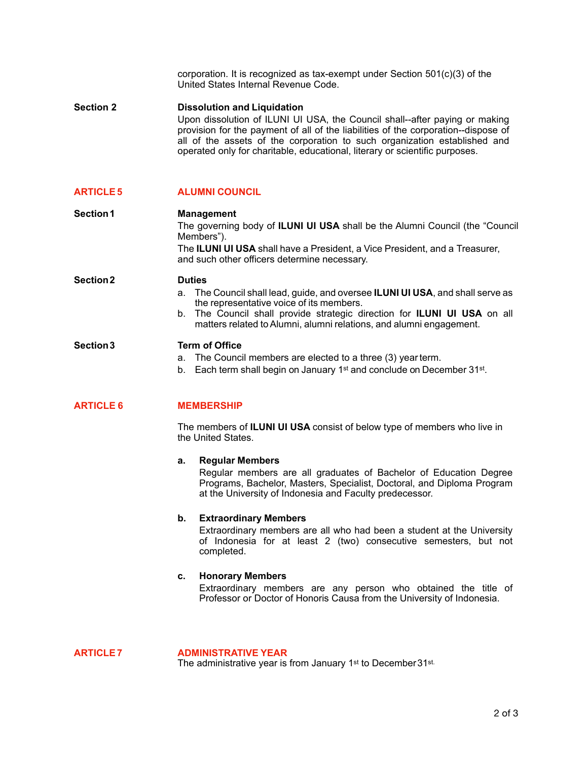corporation. It is recognized as tax-exempt under Section 501(c)(3) of the United States Internal Revenue Code.

**Section 2 Dissolution and Liquidation** Upon dissolution of ILUNI UI USA, the Council shall--after paying or making provision for the payment of all of the liabilities of the corporation--dispose of all of the assets of the corporation to such organization established and operated only for charitable, educational, literary or scientific purposes.

### **ARTICLE 5 ALUMNI COUNCIL**

**Section1 Management** The governing body of **ILUNI UI USA** shall be the Alumni Council (the "Council Members"). The **ILUNI UI USA** shall have a President, a Vice President, and a Treasurer, and such other officers determine necessary.

> a. The Council shall lead, guide, and oversee **ILUNI UI USA**, and shall serve as the representative voice of its members.

b. The Council shall provide strategic direction for **ILUNI UI USA** on all matters related to Alumni, alumni relations, and alumni engagement.

#### **Section 3 Term of Office**

**Section 2 Duties**

- a. The Council members are elected to a three (3) year term.
- b. Each term shall begin on January 1<sup>st</sup> and conclude on December 31<sup>st</sup>.

### **ARTICLE 6 MEMBERSHIP**

The members of **ILUNI UI USA** consist of below type of members who live in the United States.

#### **a. Regular Members**

Regular members are all graduates of Bachelor of Education Degree Programs, Bachelor, Masters, Specialist, Doctoral, and Diploma Program at the University of Indonesia and Faculty predecessor.

#### **b. Extraordinary Members**

Extraordinary members are all who had been a student at the University of Indonesia for at least 2 (two) consecutive semesters, but not completed.

#### **c. Honorary Members**

Extraordinary members are any person who obtained the title of Professor or Doctor of Honoris Causa from the University of Indonesia.

**ARTICLE 7 ADMINISTRATIVE YEAR** The administrative year is from January 1<sup>st</sup> to December 31<sup>st.</sup>